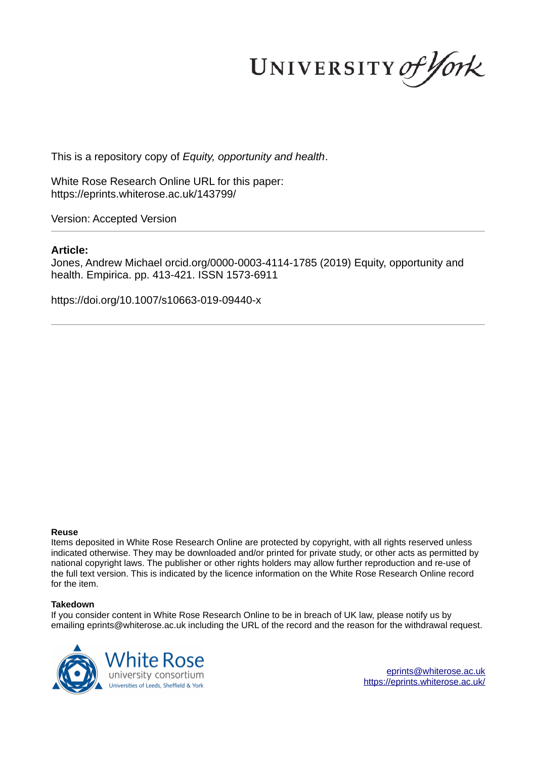UNIVERSITY of York

This is a repository copy of *Equity, opportunity and health*.

White Rose Research Online URL for this paper: https://eprints.whiterose.ac.uk/143799/

Version: Accepted Version

## **Article:**

Jones, Andrew Michael orcid.org/0000-0003-4114-1785 (2019) Equity, opportunity and health. Empirica. pp. 413-421. ISSN 1573-6911

https://doi.org/10.1007/s10663-019-09440-x

#### **Reuse**

Items deposited in White Rose Research Online are protected by copyright, with all rights reserved unless indicated otherwise. They may be downloaded and/or printed for private study, or other acts as permitted by national copyright laws. The publisher or other rights holders may allow further reproduction and re-use of the full text version. This is indicated by the licence information on the White Rose Research Online record for the item.

#### **Takedown**

If you consider content in White Rose Research Online to be in breach of UK law, please notify us by emailing eprints@whiterose.ac.uk including the URL of the record and the reason for the withdrawal request.



eprints@whiterose.ac.uk https://eprints.whiterose.ac.uk/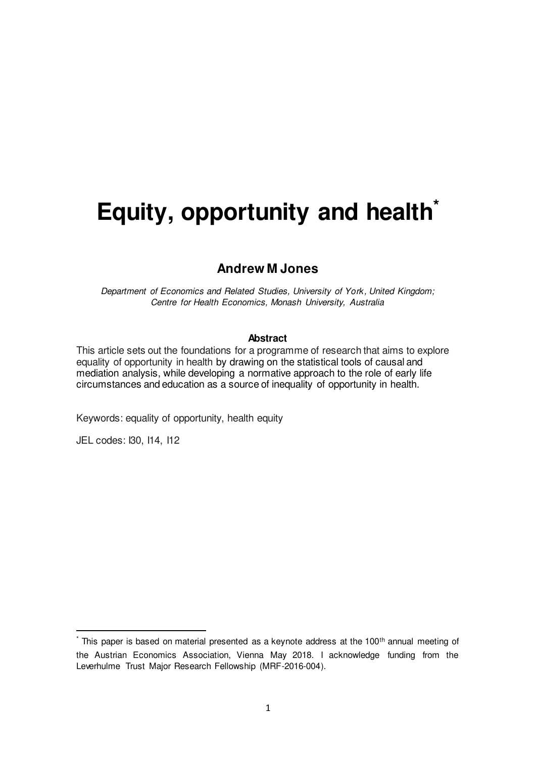# **Equity, opportunity and health\***

## **Andrew M Jones**

*Department of Economics and Related Studies, University of York, United Kingdom; Centre for Health Economics, Monash University, Australia* 

#### **Abstract**

This article sets out the foundations for a programme of research that aims to explore equality of opportunity in health by drawing on the statistical tools of causal and mediation analysis, while developing a normative approach to the role of early life circumstances and education as a source of inequality of opportunity in health.

Keywords: equality of opportunity, health equity

JEL codes: I30, I14, I12

l

 $*$  This paper is based on material presented as a keynote address at the 100<sup>th</sup> annual meeting of the Austrian Economics Association, Vienna May 2018. I acknowledge funding from the Leverhulme Trust Major Research Fellowship (MRF-2016-004).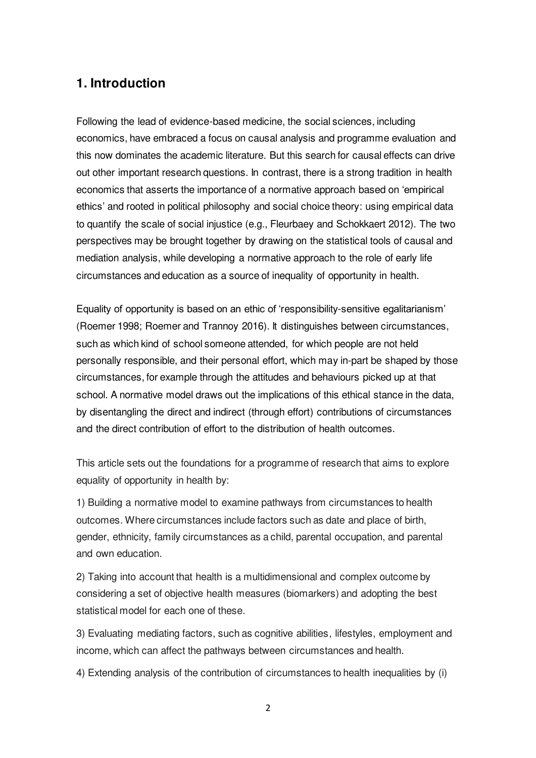# **1. Introduction**

Following the lead of evidence-based medicine, the social sciences, including economics, have embraced a focus on causal analysis and programme evaluation and this now dominates the academic literature. But this search for causal effects can drive out other important research questions. In contrast, there is a strong tradition in health economics that asserts the importance of a normative approach based on 'empirical ethics' and rooted in political philosophy and social choice theory: using empirical data to quantify the scale of social injustice (e.g., Fleurbaey and Schokkaert 2012). The two perspectives may be brought together by drawing on the statistical tools of causal and mediation analysis, while developing a normative approach to the role of early life circumstances and education as a source of inequality of opportunity in health.

Equality of opportunity is based on an ethic of 'responsibility-sensitive egalitarianism' (Roemer 1998; Roemer and Trannoy 2016). It distinguishes between circumstances, such as which kind of school someone attended, for which people are not held personally responsible, and their personal effort, which may in-part be shaped by those circumstances, for example through the attitudes and behaviours picked up at that school. A normative model draws out the implications of this ethical stance in the data, by disentangling the direct and indirect (through effort) contributions of circumstances and the direct contribution of effort to the distribution of health outcomes.

This article sets out the foundations for a programme of research that aims to explore equality of opportunity in health by:

1) Building a normative model to examine pathways from circumstances to health outcomes. Where circumstances include factors such as date and place of birth, gender, ethnicity, family circumstances as a child, parental occupation, and parental and own education.

2) Taking into account that health is a multidimensional and complex outcome by considering a set of objective health measures (biomarkers) and adopting the best statistical model for each one of these.

3) Evaluating mediating factors, such as cognitive abilities, lifestyles, employment and income, which can affect the pathways between circumstances and health.

4) Extending analysis of the contribution of circumstances to health inequalities by (i)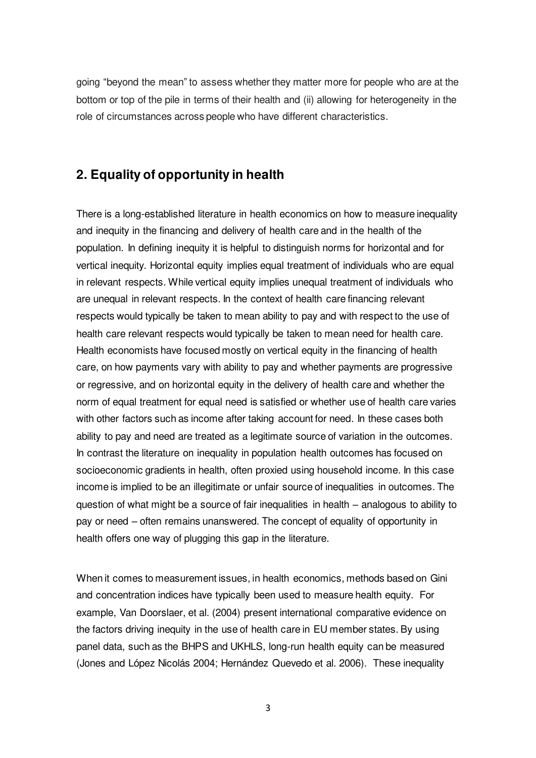going "beyond the mean" to assess whether they matter more for people who are at the bottom or top of the pile in terms of their health and (ii) allowing for heterogeneity in the role of circumstances across people who have different characteristics.

# **2. Equality of opportunity in health**

There is a long-established literature in health economics on how to measure inequality and inequity in the financing and delivery of health care and in the health of the population. In defining inequity it is helpful to distinguish norms for horizontal and for vertical inequity. Horizontal equity implies equal treatment of individuals who are equal in relevant respects. While vertical equity implies unequal treatment of individuals who are unequal in relevant respects. In the context of health care financing relevant respects would typically be taken to mean ability to pay and with respect to the use of health care relevant respects would typically be taken to mean need for health care. Health economists have focused mostly on vertical equity in the financing of health care, on how payments vary with ability to pay and whether payments are progressive or regressive, and on horizontal equity in the delivery of health care and whether the norm of equal treatment for equal need is satisfied or whether use of health care varies with other factors such as income after taking account for need. In these cases both ability to pay and need are treated as a legitimate source of variation in the outcomes. In contrast the literature on inequality in population health outcomes has focused on socioeconomic gradients in health, often proxied using household income. In this case income is implied to be an illegitimate or unfair source of inequalities in outcomes. The question of what might be a source of fair inequalities in health – analogous to ability to pay or need – often remains unanswered. The concept of equality of opportunity in health offers one way of plugging this gap in the literature.

When it comes to measurement issues, in health economics, methods based on Gini and concentration indices have typically been used to measure health equity. For example, Van Doorslaer, et al. (2004) present international comparative evidence on the factors driving inequity in the use of health care in EU member states. By using panel data, such as the BHPS and UKHLS, long-run health equity can be measured (Jones and López Nicolás 2004; Hernández Quevedo et al. 2006). These inequality

3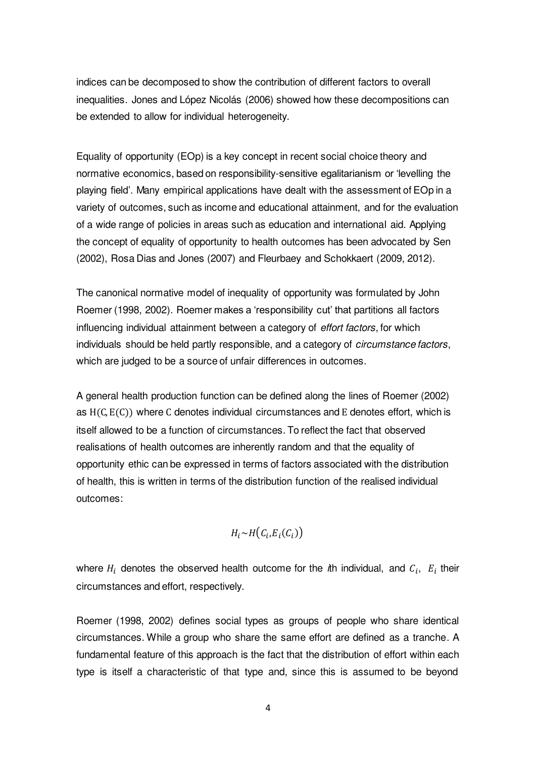indices can be decomposed to show the contribution of different factors to overall inequalities. Jones and López Nicolás (2006) showed how these decompositions can be extended to allow for individual heterogeneity.

Equality of opportunity (EOp) is a key concept in recent social choice theory and normative economics, based on responsibility-sensitive egalitarianism or 'levelling the playing field'. Many empirical applications have dealt with the assessment of EOp in a variety of outcomes, such as income and educational attainment, and for the evaluation of a wide range of policies in areas such as education and international aid. Applying the concept of equality of opportunity to health outcomes has been advocated by Sen (2002), Rosa Dias and Jones (2007) and Fleurbaey and Schokkaert (2009, 2012).

The canonical normative model of inequality of opportunity was formulated by John Roemer (1998, 2002). Roemer makes a 'responsibility cut' that partitions all factors influencing individual attainment between a category of *effort factors*, for which individuals should be held partly responsible, and a category of *circumstance factors*, which are judged to be a source of unfair differences in outcomes.

A general health production function can be defined along the lines of Roemer (2002) as  $H(C, E(C))$  where C denotes individual circumstances and E denotes effort, which is itself allowed to be a function of circumstances. To reflect the fact that observed realisations of health outcomes are inherently random and that the equality of opportunity ethic can be expressed in terms of factors associated with the distribution of health, this is written in terms of the distribution function of the realised individual outcomes:

$$
H_i \sim H\big(C_i, E_i(C_i)\big)
$$

where  $H_i$  denotes the observed health outcome for the *i*th individual, and  $C_i$ ,  $E_i$  their circumstances and effort, respectively.

Roemer (1998, 2002) defines social types as groups of people who share identical circumstances. While a group who share the same effort are defined as a tranche. A fundamental feature of this approach is the fact that the distribution of effort within each type is itself a characteristic of that type and, since this is assumed to be beyond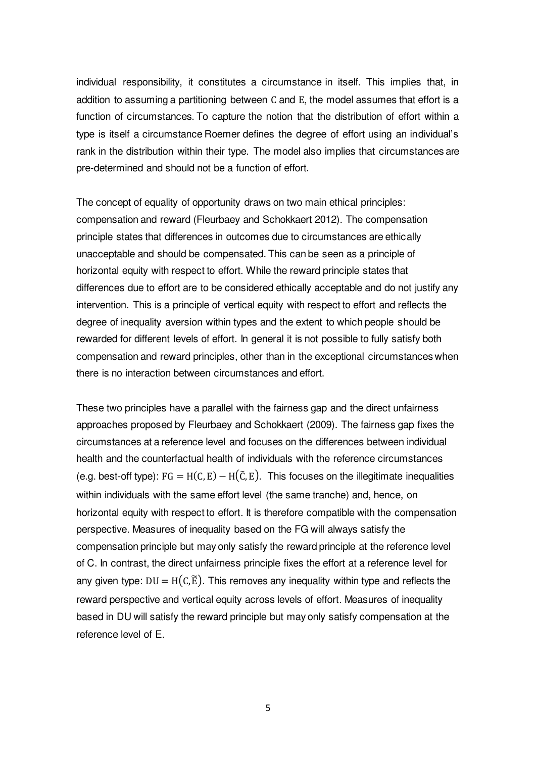individual responsibility, it constitutes a circumstance in itself. This implies that, in addition to assuming a partitioning between C and E, the model assumes that effort is a function of circumstances. To capture the notion that the distribution of effort within a type is itself a circumstance Roemer defines the degree of effort using an individual's rank in the distribution within their type. The model also implies that circumstances are pre-determined and should not be a function of effort.

The concept of equality of opportunity draws on two main ethical principles: compensation and reward (Fleurbaey and Schokkaert 2012). The compensation principle states that differences in outcomes due to circumstances are ethically unacceptable and should be compensated. This can be seen as a principle of horizontal equity with respect to effort. While the reward principle states that differences due to effort are to be considered ethically acceptable and do not justify any intervention. This is a principle of vertical equity with respect to effort and reflects the degree of inequality aversion within types and the extent to which people should be rewarded for different levels of effort. In general it is not possible to fully satisfy both compensation and reward principles, other than in the exceptional circumstances when there is no interaction between circumstances and effort.

These two principles have a parallel with the fairness gap and the direct unfairness approaches proposed by Fleurbaey and Schokkaert (2009). The fairness gap fixes the circumstances at a reference level and focuses on the differences between individual health and the counterfactual health of individuals with the reference circumstances (e.g. best-off type):  $FG = H(C, E) - H(\tilde{C}, E)$ . This focuses on the illegitimate inequalities within individuals with the same effort level (the same tranche) and, hence, on horizontal equity with respect to effort. It is therefore compatible with the compensation perspective. Measures of inequality based on the FG will always satisfy the compensation principle but may only satisfy the reward principle at the reference level of C. In contrast, the direct unfairness principle fixes the effort at a reference level for any given type:  $DU = H(C, \tilde{E})$ . This removes any inequality within type and reflects the reward perspective and vertical equity across levels of effort. Measures of inequality based in DU will satisfy the reward principle but may only satisfy compensation at the reference level of E.

5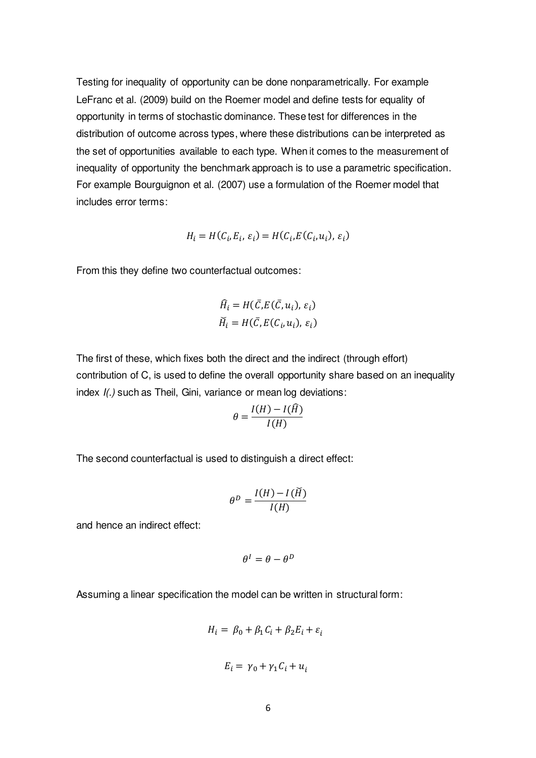Testing for inequality of opportunity can be done nonparametrically. For example LeFranc et al. (2009) build on the Roemer model and define tests for equality of opportunity in terms of stochastic dominance. These test for differences in the distribution of outcome across types, where these distributions can be interpreted as the set of opportunities available to each type. When it comes to the measurement of inequality of opportunity the benchmark approach is to use a parametric specification. For example Bourguignon et al. (2007) use a formulation of the Roemer model that includes error terms:

$$
H_i = H(C_i, E_i, \varepsilon_i) = H(C_i, E(C_i, u_i), \varepsilon_i)
$$

From this they define two counterfactual outcomes:

$$
\widehat{H}_i = H(\overline{C}, E(\overline{C}, u_i), \varepsilon_i)
$$

$$
\widecheck{H}_i = H(\overline{C}, E(C_i, u_i), \varepsilon_i)
$$

The first of these, which fixes both the direct and the indirect (through effort) contribution of C, is used to define the overall opportunity share based on an inequality index *I(.)* such as Theil, Gini, variance or mean log deviations:

$$
\theta = \frac{I(H) - I(H)}{I(H)}
$$

The second counterfactual is used to distinguish a direct effect:

$$
\theta^D = \frac{I(H) - I(\breve{H})}{I(H)}
$$

and hence an indirect effect:

$$
\theta^I = \theta - \theta^D
$$

Assuming a linear specification the model can be written in structural form:

$$
H_i = \beta_0 + \beta_1 C_i + \beta_2 E_i + \varepsilon_i
$$
  

$$
E_i = \gamma_0 + \gamma_1 C_i + u_i
$$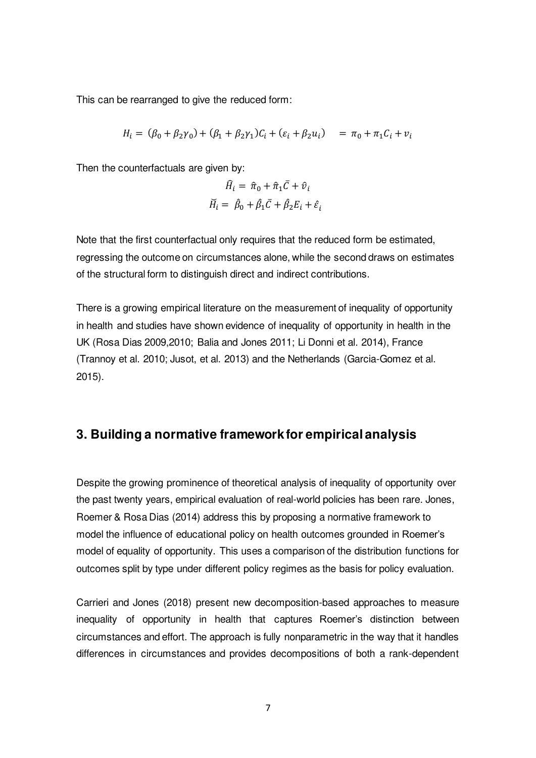This can be rearranged to give the reduced form:

$$
H_i = (\beta_0 + \beta_2 \gamma_0) + (\beta_1 + \beta_2 \gamma_1)C_i + (\varepsilon_i + \beta_2 u_i) = \pi_0 + \pi_1 C_i + v_i
$$

Then the counterfactuals are given by:

$$
\widehat{H}_i = \widehat{\pi}_0 + \widehat{\pi}_1 \overline{C} + \widehat{\nu}_i
$$

$$
\widecheck{H}_i = \widehat{\beta}_0 + \widehat{\beta}_1 \overline{C} + \widehat{\beta}_2 E_i + \widehat{\varepsilon}_i
$$

Note that the first counterfactual only requires that the reduced form be estimated, regressing the outcome on circumstances alone, while the second draws on estimates of the structural form to distinguish direct and indirect contributions.

There is a growing empirical literature on the measurement of inequality of opportunity in health and studies have shown evidence of inequality of opportunity in health in the UK (Rosa Dias 2009,2010; Balia and Jones 2011; Li Donni et al. 2014), France (Trannoy et al. 2010; Jusot, et al. 2013) and the Netherlands (Garcia-Gomez et al. 2015).

## **3. Building a normative framework for empirical analysis**

Despite the growing prominence of theoretical analysis of inequality of opportunity over the past twenty years, empirical evaluation of real-world policies has been rare. Jones, Roemer & Rosa Dias (2014) address this by proposing a normative framework to model the influence of educational policy on health outcomes grounded in Roemer's model of equality of opportunity. This uses a comparison of the distribution functions for outcomes split by type under different policy regimes as the basis for policy evaluation.

Carrieri and Jones (2018) present new decomposition-based approaches to measure inequality of opportunity in health that captures Roemer's distinction between circumstances and effort. The approach is fully nonparametric in the way that it handles differences in circumstances and provides decompositions of both a rank-dependent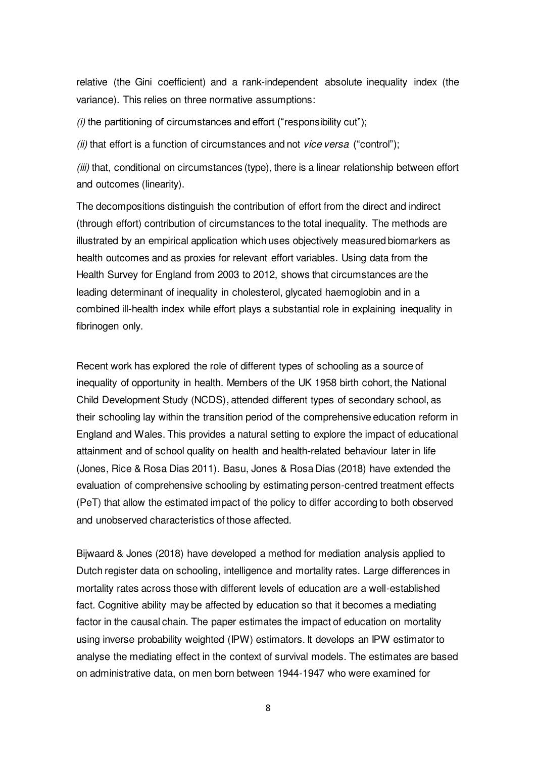relative (the Gini coefficient) and a rank-independent absolute inequality index (the variance). This relies on three normative assumptions:

*(i)* the partitioning of circumstances and effort ("responsibility cut");

*(ii)* that effort is a function of circumstances and not *vice versa* ("control");

*(iii)* that, conditional on circumstances (type), there is a linear relationship between effort and outcomes (linearity).

The decompositions distinguish the contribution of effort from the direct and indirect (through effort) contribution of circumstances to the total inequality. The methods are illustrated by an empirical application which uses objectively measured biomarkers as health outcomes and as proxies for relevant effort variables. Using data from the Health Survey for England from 2003 to 2012, shows that circumstances are the leading determinant of inequality in cholesterol, glycated haemoglobin and in a combined ill-health index while effort plays a substantial role in explaining inequality in fibrinogen only.

Recent work has explored the role of different types of schooling as a source of inequality of opportunity in health. Members of the UK 1958 birth cohort, the National Child Development Study (NCDS), attended different types of secondary school, as their schooling lay within the transition period of the comprehensive education reform in England and Wales. This provides a natural setting to explore the impact of educational attainment and of school quality on health and health-related behaviour later in life (Jones, Rice & Rosa Dias 2011). Basu, Jones & Rosa Dias (2018) have extended the evaluation of comprehensive schooling by estimating person-centred treatment effects (PeT) that allow the estimated impact of the policy to differ according to both observed and unobserved characteristics of those affected.

Bijwaard & Jones (2018) have developed a method for mediation analysis applied to Dutch register data on schooling, intelligence and mortality rates. Large differences in mortality rates across those with different levels of education are a well-established fact. Cognitive ability may be affected by education so that it becomes a mediating factor in the causal chain. The paper estimates the impact of education on mortality using inverse probability weighted (IPW) estimators. It develops an IPW estimator to analyse the mediating effect in the context of survival models. The estimates are based on administrative data, on men born between 1944-1947 who were examined for

8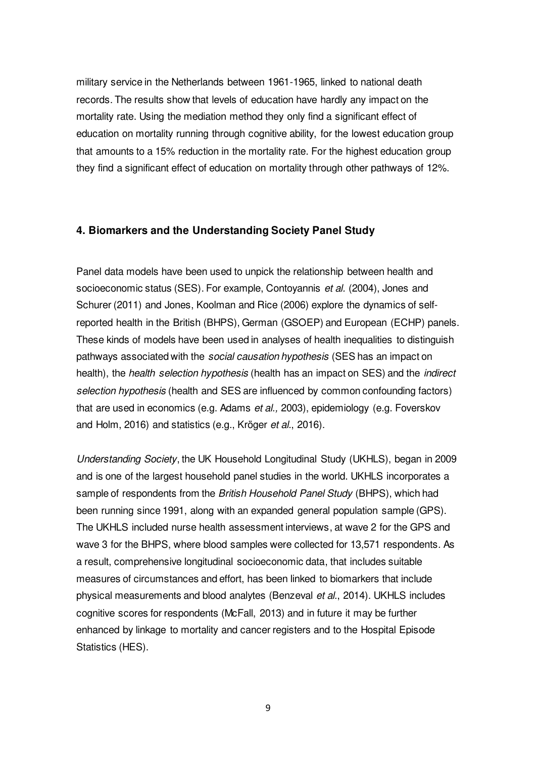military service in the Netherlands between 1961-1965, linked to national death records. The results show that levels of education have hardly any impact on the mortality rate. Using the mediation method they only find a significant effect of education on mortality running through cognitive ability, for the lowest education group that amounts to a 15% reduction in the mortality rate. For the highest education group they find a significant effect of education on mortality through other pathways of 12%.

### **4. Biomarkers and the Understanding Society Panel Study**

Panel data models have been used to unpick the relationship between health and socioeconomic status (SES). For example, Contoyannis *et al.* (2004), Jones and Schurer (2011) and Jones, Koolman and Rice (2006) explore the dynamics of selfreported health in the British (BHPS), German (GSOEP) and European (ECHP) panels. These kinds of models have been used in analyses of health inequalities to distinguish pathways associated with the *social causation hypothesis* (SES has an impact on health), the *health selection hypothesis* (health has an impact on SES) and the *indirect selection hypothesis* (health and SES are influenced by common confounding factors) that are used in economics (e.g. Adams *et al.,* 2003), epidemiology (e.g. Foverskov and Holm, 2016) and statistics (e.g., Kröger *et al.*, 2016).

*Understanding Society*, the UK Household Longitudinal Study (UKHLS), began in 2009 and is one of the largest household panel studies in the world. UKHLS incorporates a sample of respondents from the *British Household Panel Study* (BHPS), which had been running since 1991, along with an expanded general population sample (GPS). The UKHLS included nurse health assessment interviews, at wave 2 for the GPS and wave 3 for the BHPS, where blood samples were collected for 13,571 respondents. As a result, comprehensive longitudinal socioeconomic data, that includes suitable measures of circumstances and effort, has been linked to biomarkers that include physical measurements and blood analytes (Benzeval *et al.*, 2014). UKHLS includes cognitive scores for respondents (McFall, 2013) and in future it may be further enhanced by linkage to mortality and cancer registers and to the Hospital Episode Statistics (HES).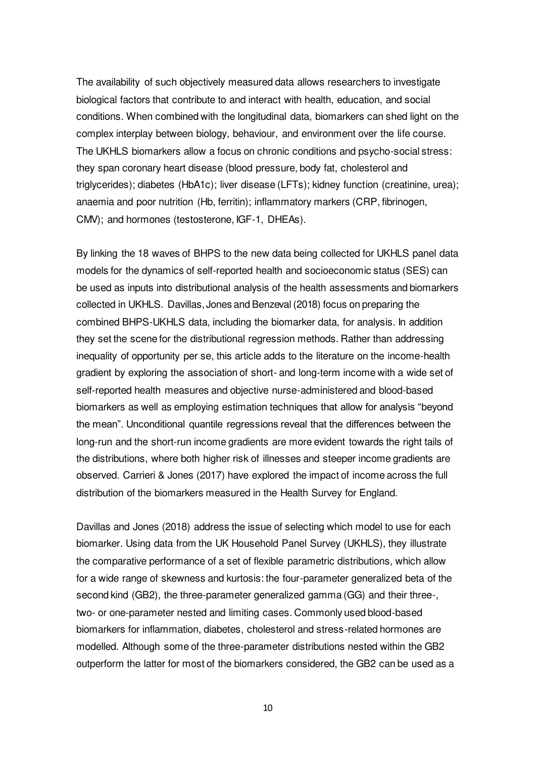The availability of such objectively measured data allows researchers to investigate biological factors that contribute to and interact with health, education, and social conditions. When combined with the longitudinal data, biomarkers can shed light on the complex interplay between biology, behaviour, and environment over the life course. The UKHLS biomarkers allow a focus on chronic conditions and psycho-social stress: they span coronary heart disease (blood pressure, body fat, cholesterol and triglycerides); diabetes (HbA1c); liver disease (LFTs); kidney function (creatinine, urea); anaemia and poor nutrition (Hb, ferritin); inflammatory markers (CRP, fibrinogen, CMV); and hormones (testosterone, IGF-1, DHEAs).

By linking the 18 waves of BHPS to the new data being collected for UKHLS panel data models for the dynamics of self-reported health and socioeconomic status (SES) can be used as inputs into distributional analysis of the health assessments and biomarkers collected in UKHLS. Davillas, Jones and Benzeval (2018) focus on preparing the combined BHPS-UKHLS data, including the biomarker data, for analysis. In addition they set the scene for the distributional regression methods. Rather than addressing inequality of opportunity per se, this article adds to the literature on the income-health gradient by exploring the association of short- and long-term income with a wide set of self-reported health measures and objective nurse-administered and blood-based biomarkers as well as employing estimation techniques that allow for analysis "beyond the mean". Unconditional quantile regressions reveal that the differences between the long-run and the short-run income gradients are more evident towards the right tails of the distributions, where both higher risk of illnesses and steeper income gradients are observed. Carrieri & Jones (2017) have explored the impact of income across the full distribution of the biomarkers measured in the Health Survey for England.

Davillas and Jones (2018) address the issue of selecting which model to use for each biomarker. Using data from the UK Household Panel Survey (UKHLS), they illustrate the comparative performance of a set of flexible parametric distributions, which allow for a wide range of skewness and kurtosis: the four-parameter generalized beta of the second kind (GB2), the three-parameter generalized gamma (GG) and their three-, two- or one-parameter nested and limiting cases. Commonly used blood-based biomarkers for inflammation, diabetes, cholesterol and stress-related hormones are modelled. Although some of the three-parameter distributions nested within the GB2 outperform the latter for most of the biomarkers considered, the GB2 can be used as a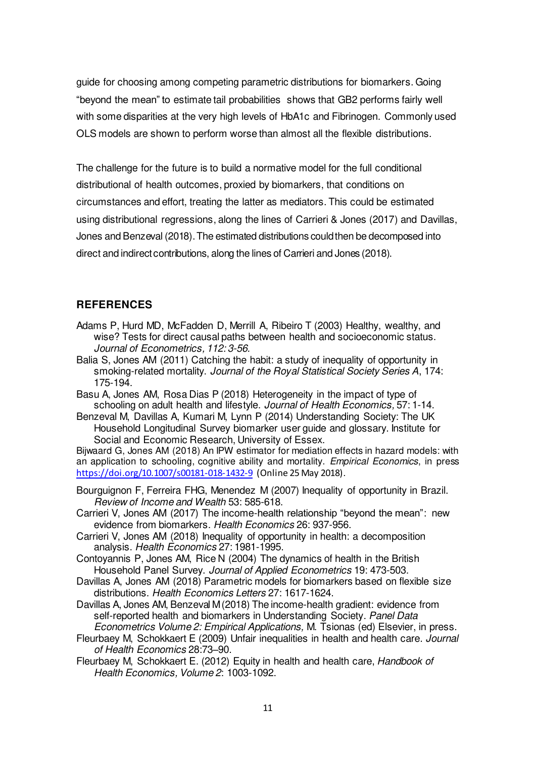guide for choosing among competing parametric distributions for biomarkers. Going "beyond the mean" to estimate tail probabilities shows that GB2 performs fairly well with some disparities at the very high levels of HbA1c and Fibrinogen. Commonly used OLS models are shown to perform worse than almost all the flexible distributions.

The challenge for the future is to build a normative model for the full conditional distributional of health outcomes, proxied by biomarkers, that conditions on circumstances and effort, treating the latter as mediators. This could be estimated using distributional regressions, along the lines of Carrieri & Jones (2017) and Davillas, Jones and Benzeval (2018). The estimated distributions could then be decomposed into direct and indirect contributions, along the lines of Carrieri and Jones (2018).

## **REFERENCES**

- Adams P, Hurd MD, McFadden D, Merrill A, Ribeiro T (2003) Healthy, wealthy, and wise? Tests for direct causal paths between health and socioeconomic status. *Journal of Econometrics, 112: 3-56.*
- Balia S, Jones AM (2011) Catching the habit: a study of inequality of opportunity in smoking-related mortality. *Journal of the Royal Statistical Society Series A*, 174: 175-194.
- Basu A, Jones AM, Rosa Dias P (2018) Heterogeneity in the impact of type of schooling on adult health and lifestyle. *Journal of Health Economics,* 57: 1-14.
- Benzeval M, Davillas A, Kumari M, Lynn P (2014) Understanding Society: The UK Household Longitudinal Survey biomarker user guide and glossary. Institute for Social and Economic Research, University of Essex.

Bijwaard G, Jones AM (2018) An IPW estimator for mediation effects in hazard models: with an application to schooling, cognitive ability and mortality. *Empirical Economics*, in press <https://doi.org/10.1007/s00181-018-1432-9>(Online 25 May 2018).

- Bourguignon F, Ferreira FHG, Menendez M (2007) Inequality of opportunity in Brazil. *Review of Income and Wealth* 53: 585-618.
- Carrieri V, Jones AM (2017) The income-health relationship "beyond the mean": new evidence from biomarkers. *Health Economics* 26: 937-956.
- Carrieri V, Jones AM (2018) Inequality of opportunity in health: a decomposition analysis. *Health Economics* 27: 1981-1995.
- Contoyannis P, Jones AM, Rice N (2004) The dynamics of health in the British Household Panel Survey. *Journal of Applied Econometrics* 19: 473-503.
- Davillas A, Jones AM (2018) Parametric models for biomarkers based on flexible size distributions. *Health Economics Letters* 27: 1617-1624.
- Davillas A, Jones AM, Benzeval M (2018) The income-health gradient: evidence from self-reported health and biomarkers in Understanding Society. *Panel Data Econometrics Volume 2: Empirical Applications,* M. Tsionas (ed) Elsevier, in press.
- Fleurbaey M, Schokkaert E (2009) Unfair inequalities in health and health care. *Journal of Health Economics* 28:73–90.
- Fleurbaey M, Schokkaert E. (2012) Equity in health and health care, *Handbook of Health Economics, Volume 2*: 1003-1092.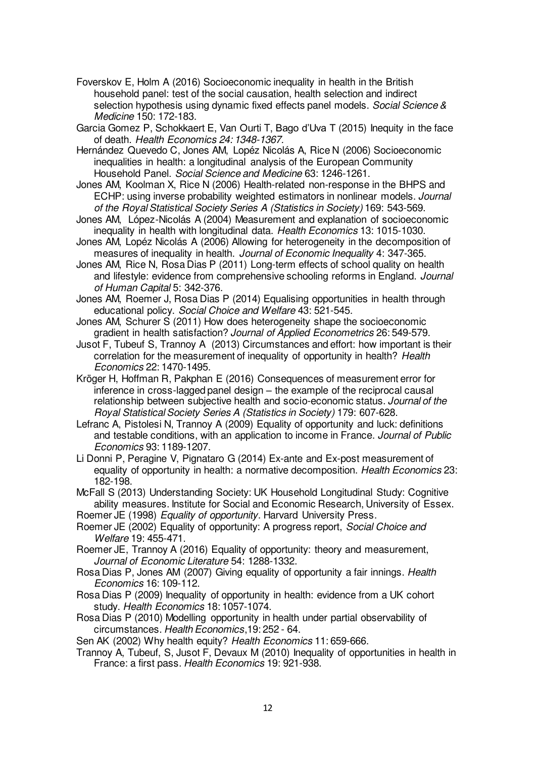- Foverskov E, Holm A (2016) Socioeconomic inequality in health in the British household panel: test of the social causation, health selection and indirect selection hypothesis using dynamic fixed effects panel models. *Social Science & Medicine* 150: 172-183.
- Garcia Gomez P, Schokkaert E, Van Ourti T, Bago d'Uva T (2015) Inequity in the face of death. *Health Economics 24: 1348-1367.*
- Hernández Quevedo C, Jones AM, Lopéz Nicolás A, Rice N (2006) Socioeconomic inequalities in health: a longitudinal analysis of the European Community Household Panel. *Social Science and Medicine* 63: 1246-1261.
- Jones AM, Koolman X, Rice N (2006) Health-related non-response in the BHPS and ECHP: using inverse probability weighted estimators in nonlinear models. *Journal of the Royal Statistical Society Series A (Statistics in Society)* 169: 543-569.
- Jones AM, López-Nicolás A (2004) Measurement and explanation of socioeconomic inequality in health with longitudinal data. *Health Economics* 13: 1015-1030.
- Jones AM, Lopéz Nicolás A (2006) Allowing for heterogeneity in the decomposition of measures of inequality in health. *Journal of Economic Inequality* 4: 347-365.
- Jones AM, Rice N, Rosa Dias P (2011) Long-term effects of school quality on health and lifestyle: evidence from comprehensive schooling reforms in England. *Journal of Human Capital* 5: 342-376.
- Jones AM, Roemer J, Rosa Dias P (2014) Equalising opportunities in health through educational policy. *Social Choice and Welfare* 43: 521-545.
- Jones AM, Schurer S (2011) How does heterogeneity shape the socioeconomic gradient in health satisfaction? *Journal of Applied Econometrics* 26: 549-579.
- Jusot F, Tubeuf S, Trannoy A (2013) Circumstances and effort: how important is their correlation for the measurement of inequality of opportunity in health? *Health Economics* 22: 1470-1495.
- Kröger H, Hoffman R, Pakphan E (2016) Consequences of measurement error for inference in cross-lagged panel design – the example of the reciprocal causal relationship between subjective health and socio-economic status. *Journal of the Royal Statistical Society Series A (Statistics in Society)* 179: 607-628.
- Lefranc A, Pistolesi N, Trannoy A (2009) Equality of opportunity and luck: definitions and testable conditions, with an application to income in France. *Journal of Public Economics* 93: 1189-1207.
- Li Donni P, Peragine V, Pignataro G (2014) Ex-ante and Ex-post measurement of equality of opportunity in health: a normative decomposition. *Health Economics* 23: 182-198.
- McFall S (2013) Understanding Society: UK Household Longitudinal Study: Cognitive ability measures. Institute for Social and Economic Research, University of Essex.
- Roemer JE (1998) *Equality of opportunity*. Harvard University Press.
- Roemer JE (2002) Equality of opportunity: A progress report, *Social Choice and Welfare* 19: 455-471.
- Roemer JE, Trannoy A (2016) Equality of opportunity: theory and measurement, *Journal of Economic Literature* 54: 1288-1332.
- Rosa Dias P, Jones AM (2007) Giving equality of opportunity a fair innings. *Health Economics* 16: 109-112.
- Rosa Dias P (2009) Inequality of opportunity in health: evidence from a UK cohort study. *Health Economics* 18: 1057-1074.
- Rosa Dias P (2010) Modelling opportunity in health under partial observability of circumstances. *Health Economics*,19: 252 - 64.
- Sen AK (2002) Why health equity? *Health Economics* 11: 659-666.
- Trannoy A, Tubeuf, S, Jusot F, Devaux M (2010) Inequality of opportunities in health in France: a first pass. *Health Economics* 19: 921-938.